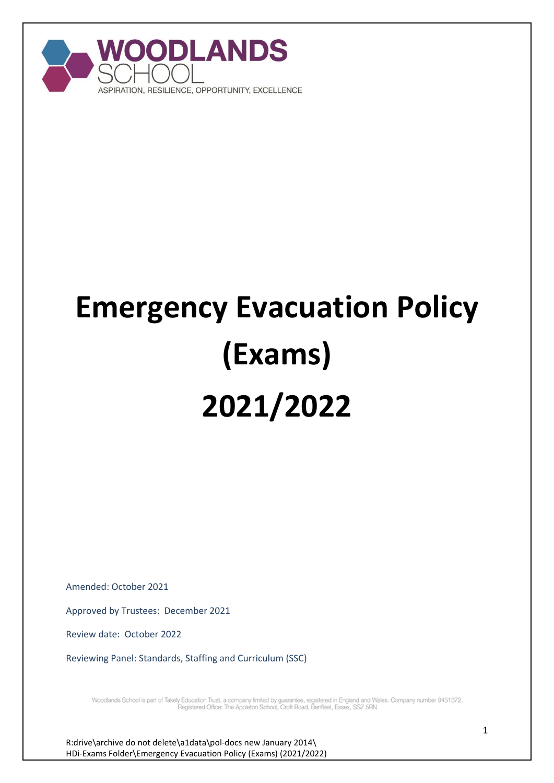

# **Emergency Evacuation Policy (Exams) 2021/2022**

Amended: October 2021

Approved by Trustees: December 2021

Review date: October 2022

Reviewing Panel: Standards, Staffing and Curriculum (SSC)

Woodlands School is part of Takely Education Trust, a company limited by guarantee, registered in England and Wales. Company number 9451372.<br>Registered Office: The Appleton School, Croft Road, Benfleet, Essex, SS7 5RN

R:drive\archive do not delete\a1data\pol-docs new January 2014\ HDi-Exams Folder\Emergency Evacuation Policy (Exams) (2021/2022)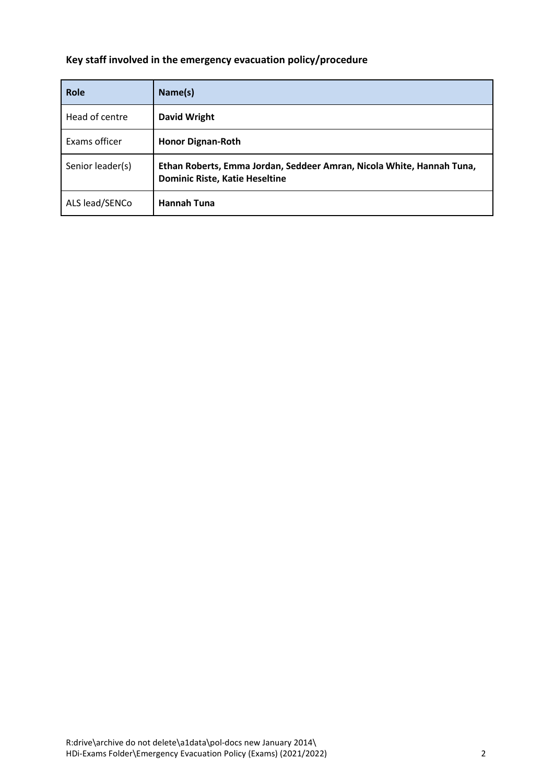## **Key staff involved in the emergency evacuation policy/procedure**

| Role             | Name(s)                                                                                                        |  |
|------------------|----------------------------------------------------------------------------------------------------------------|--|
| Head of centre   | David Wright                                                                                                   |  |
| Exams officer    | <b>Honor Dignan-Roth</b>                                                                                       |  |
| Senior leader(s) | Ethan Roberts, Emma Jordan, Seddeer Amran, Nicola White, Hannah Tuna,<br><b>Dominic Riste, Katie Heseltine</b> |  |
| ALS lead/SENCo   | <b>Hannah Tuna</b>                                                                                             |  |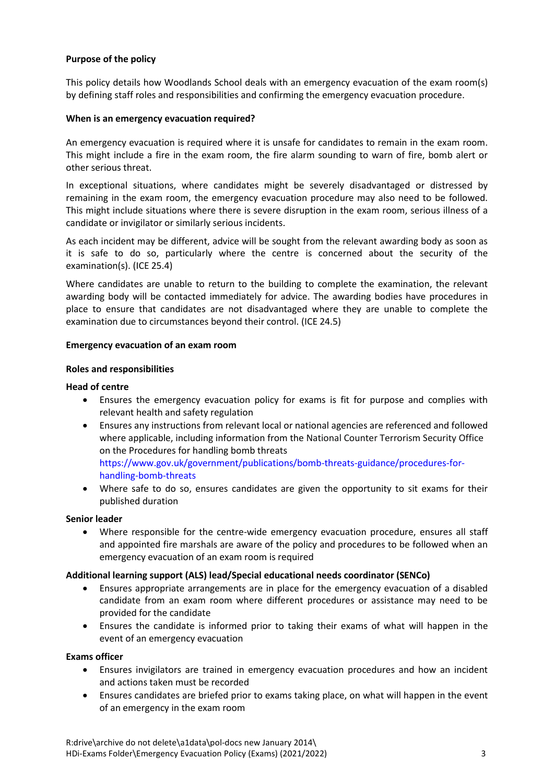#### **Purpose of the policy**

This policy details how Woodlands School deals with an emergency evacuation of the exam room(s) by defining staff roles and responsibilities and confirming the emergency evacuation procedure.

#### **When is an emergency evacuation required?**

An emergency evacuation is required where it is unsafe for candidates to remain in the exam room. This might include a fire in the exam room, the fire alarm sounding to warn of fire, bomb alert or other serious threat.

In exceptional situations, where candidates might be severely disadvantaged or distressed by remaining in the exam room, the emergency evacuation procedure may also need to be followed. This might include situations where there is severe disruption in the exam room, serious illness of a candidate or invigilator or similarly serious incidents.

As each incident may be different, advice will be sought from the relevant awarding body as soon as it is safe to do so, particularly where the centre is concerned about the security of the examination(s). (ICE 25.4)

Where candidates are unable to return to the building to complete the examination, the relevant awarding body will be contacted immediately for advice. The awarding bodies have procedures in place to ensure that candidates are not disadvantaged where they are unable to complete the examination due to circumstances beyond their control. (ICE 24.5)

#### **Emergency evacuation of an exam room**

#### **Roles and responsibilities**

#### **Head of centre**

- Ensures the emergency evacuation policy for exams is fit for purpose and complies with relevant health and safety regulation
- Ensures any instructions from relevant local or national agencies are referenced and followed where applicable, including information from the National Counter Terrorism Security Office on the Procedures for handling bomb threats [https://www.gov.uk/government/publications/bomb-threats-guidance/procedures-for-](https://www.gov.uk/government/publications/bomb-threats-guidance/procedures-for-handling-bomb-threats)
- [handling-bomb-threats](https://www.gov.uk/government/publications/bomb-threats-guidance/procedures-for-handling-bomb-threats) Where safe to do so, ensures candidates are given the opportunity to sit exams for their published duration

#### **Senior leader**

 Where responsible for the centre-wide emergency evacuation procedure, ensures all staff and appointed fire marshals are aware of the policy and procedures to be followed when an emergency evacuation of an exam room is required

#### **Additional learning support (ALS) lead/Special educational needs coordinator (SENCo)**

- Ensures appropriate arrangements are in place for the emergency evacuation of a disabled candidate from an exam room where different procedures or assistance may need to be provided for the candidate
- Ensures the candidate is informed prior to taking their exams of what will happen in the event of an emergency evacuation

#### **Exams officer**

- Ensures invigilators are trained in emergency evacuation procedures and how an incident and actions taken must be recorded
- Ensures candidates are briefed prior to exams taking place, on what will happen in the event of an emergency in the exam room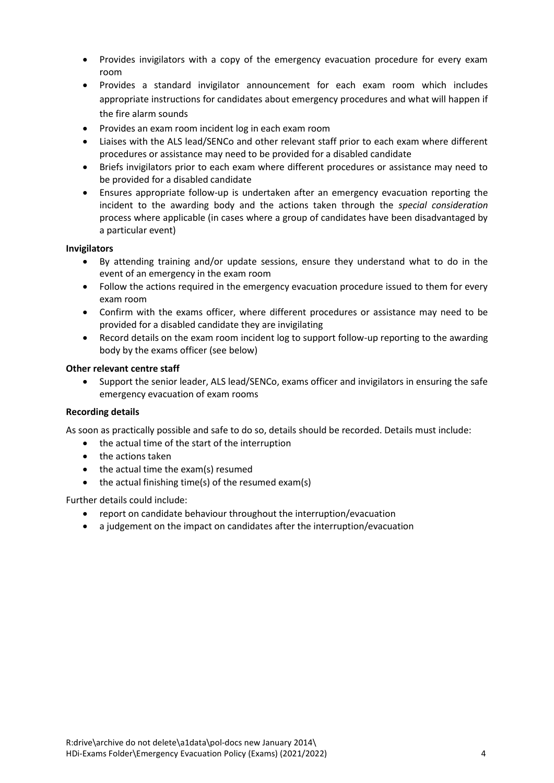- Provides invigilators with a copy of the emergency evacuation procedure for every exam room
- Provides a standard invigilator announcement for each exam room which includes appropriate instructions for candidates about emergency procedures and what will happen if the fire alarm sounds
- Provides an exam room incident log in each exam room
- Liaises with the ALS lead/SENCo and other relevant staff prior to each exam where different procedures or assistance may need to be provided for a disabled candidate
- Briefs invigilators prior to each exam where different procedures or assistance may need to be provided for a disabled candidate
- Ensures appropriate follow-up is undertaken after an emergency evacuation reporting the incident to the awarding body and the actions taken through the *special consideration* process where applicable (in cases where a group of candidates have been disadvantaged by a particular event)

#### **Invigilators**

- By attending training and/or update sessions, ensure they understand what to do in the event of an emergency in the exam room
- Follow the actions required in the emergency evacuation procedure issued to them for every exam room
- Confirm with the exams officer, where different procedures or assistance may need to be provided for a disabled candidate they are invigilating
- Record details on the exam room incident log to support follow-up reporting to the awarding body by the exams officer (see below)

#### **Other relevant centre staff**

 Support the senior leader, ALS lead/SENCo, exams officer and invigilators in ensuring the safe emergency evacuation of exam rooms

#### **Recording details**

As soon as practically possible and safe to do so, details should be recorded. Details must include:

- the actual time of the start of the interruption
- the actions taken
- $\bullet$  the actual time the exam(s) resumed
- $\bullet$  the actual finishing time(s) of the resumed exam(s)

Further details could include:

- report on candidate behaviour throughout the interruption/evacuation
- a judgement on the impact on candidates after the interruption/evacuation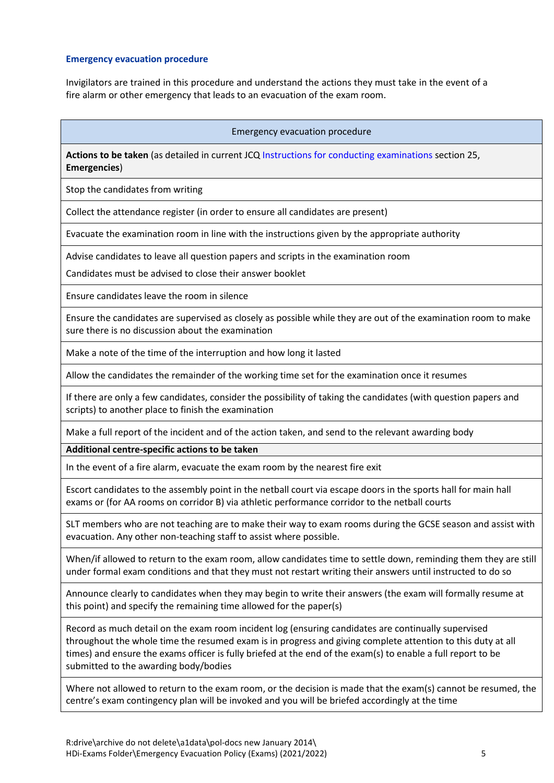#### **Emergency evacuation procedure**

Invigilators are trained in this procedure and understand the actions they must take in the event of a fire alarm or other emergency that leads to an evacuation of the exam room.

#### Emergency evacuation procedure

**Actions to be taken** (as detailed in current JCQ [Instructions for conducting examinations](http://www.jcq.org.uk/exams-office/ice---instructions-for-conducting-examinations) section 25, **Emergencies**)

Stop the candidates from writing

Collect the attendance register (in order to ensure all candidates are present)

Evacuate the examination room in line with the instructions given by the appropriate authority

Advise candidates to leave all question papers and scripts in the examination room

Candidates must be advised to close their answer booklet

Ensure candidates leave the room in silence

Ensure the candidates are supervised as closely as possible while they are out of the examination room to make sure there is no discussion about the examination

Make a note of the time of the interruption and how long it lasted

Allow the candidates the remainder of the working time set for the examination once it resumes

If there are only a few candidates, consider the possibility of taking the candidates (with question papers and scripts) to another place to finish the examination

Make a full report of the incident and of the action taken, and send to the relevant awarding body

**Additional centre-specific actions to be taken** 

In the event of a fire alarm, evacuate the exam room by the nearest fire exit

Escort candidates to the assembly point in the netball court via escape doors in the sports hall for main hall exams or (for AA rooms on corridor B) via athletic performance corridor to the netball courts

SLT members who are not teaching are to make their way to exam rooms during the GCSE season and assist with evacuation. Any other non-teaching staff to assist where possible.

When/if allowed to return to the exam room, allow candidates time to settle down, reminding them they are still under formal exam conditions and that they must not restart writing their answers until instructed to do so

Announce clearly to candidates when they may begin to write their answers (the exam will formally resume at this point) and specify the remaining time allowed for the paper(s)

Record as much detail on the exam room incident log (ensuring candidates are continually supervised throughout the whole time the resumed exam is in progress and giving complete attention to this duty at all times) and ensure the exams officer is fully briefed at the end of the exam(s) to enable a full report to be submitted to the awarding body/bodies

Where not allowed to return to the exam room, or the decision is made that the exam(s) cannot be resumed, the centre's exam contingency plan will be invoked and you will be briefed accordingly at the time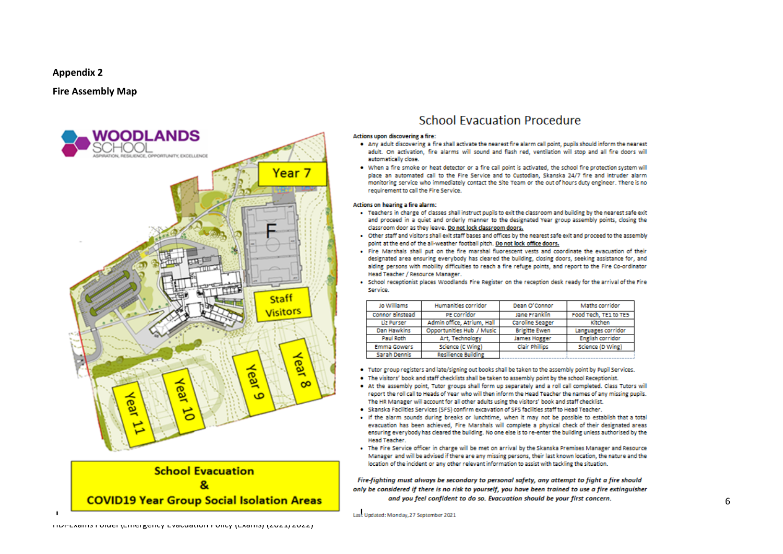#### **Appendix 2**

#### **Fire Assembly Map**





### **School Evacuation Procedure**

#### Actions upon discovering a fire:

- . Any adult discovering a fire shall activate the nearest fire alarm call point, pupils should inform the nearest adult. On activation, fire alarms will sound and flash red, ventilation will stop and all fire doors will automatically close.
- . When a fire smoke or heat detector or a fire call point is activated, the school fire protection system will place an automated call to the Fire Service and to Custodian. Skanska 24/7 fire and intruder alarm monitoring service who immediately contact the Site Team or the out of hours duty engineer. There is no requirement to call the Fire Service.

#### Actions on hearing a fire alarm:

- . Teachers in charge of classes shall instruct pupils to exit the classroom and building by the nearest safe exit and proceed in a quiet and orderly manner to the designated Year group assembly points, closing the classroom door as they leave. Do not lock classroom doors.
- . Other staff and visitors shall exit staff bases and offices by the nearest safe exit and proceed to the assembly point at the end of the all-weather football pitch. Do not lock office doors.
- . Fire Marshals shall out on the fire marshal fluorescent vests and coordinate the evacuation of their designated area ensuring everybody has cleared the building, closing doors, seeking assistance for, and aiding persons with mobility difficulties to reach a fire refuge points, and report to the Fire Co-ordinator Head Teacher / Resource Manager.
- . School receptionist places Woodlands Fire Register on the reception desk ready for the arrival of the Fire Service.

| Jo Williams            | Humanities corridor        | Dean O'Connor          | Maths corridor          |  |
|------------------------|----------------------------|------------------------|-------------------------|--|
| <b>Connor Binstead</b> | <b>PE Corridor</b>         | Jane Franklin          | Food Tech, TE1 to TE5   |  |
| <b>Liz Purser</b>      | Admin office, Atrium, Hall | <b>Caroline Seager</b> | Kitchen                 |  |
| Dan Hawkins            | Opportunities Hub / Music  | <b>Brigitte Ewen</b>   | Languages corridor      |  |
| Paul Roth              | Art, Technology            | <b>James Hogger</b>    | <b>English corridor</b> |  |
| <b>Emma Gowers</b>     | Science (C Wing)           | <b>Clair Phillips</b>  | Science (D Wing)        |  |
| <b>Sarah Dennis</b>    | Resilience Building        |                        |                         |  |

- . Tutor group registers and late/signing out books shall be taken to the assembly point by Pupil Services.
- . The visitors' book and staff checklists shall be taken to assembly point by the school Receptionist.
- At the assembly point, Tutor groups shall form up separately and a roll call completed. Class Tutors will report the roll call to Heads of Year who will then inform the Head Teacher the names of any missing pupils. The HR Manager will account for all other adults using the visitors' book and staff checklist.
- . Skanska Facilities Services (SFS) confirm excavation of SFS facilities staff to Head Teacher.
- . If the alarm sounds during breaks or lunchtime, when it may not be possible to establish that a total evacuation has been achieved. Fire Marshals will complete a physical check of their designated areas ensuring everybody has cleared the building. No one else is to re-enter the building unless authorised by the Head Teacher
- . The Fire Service officer in charge will be met on arrival by the Skanska Premises Manager and Resource Manager and will be advised if there are any missing persons, their last known location, the nature and the location of the incident or any other relevant information to assist with tackling the situation.

Fire-fighting must always be secondary to personal safety, any attempt to fight a fire should only be considered if there is no risk to yourself, you have been trained to use a fire extinguisher and you feel confident to do so. Evacuation should be your first concern.

Last Updated: Monday, 27 September 2021